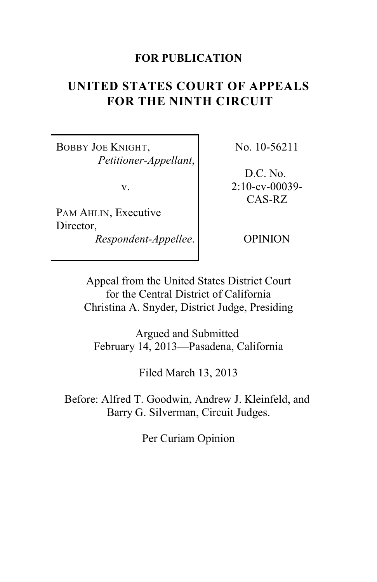# **FOR PUBLICATION**

# **UNITED STATES COURT OF APPEALS FOR THE NINTH CIRCUIT**

BOBBY JOE KNIGHT, *Petitioner-Appellant*,

v.

PAM AHLIN, Executive Director, *Respondent-Appellee*. No. 10-56211

D.C. No. 2:10-cv-00039- CAS-RZ

OPINION

Appeal from the United States District Court for the Central District of California Christina A. Snyder, District Judge, Presiding

Argued and Submitted February 14, 2013—Pasadena, California

Filed March 13, 2013

Before: Alfred T. Goodwin, Andrew J. Kleinfeld, and Barry G. Silverman, Circuit Judges.

Per Curiam Opinion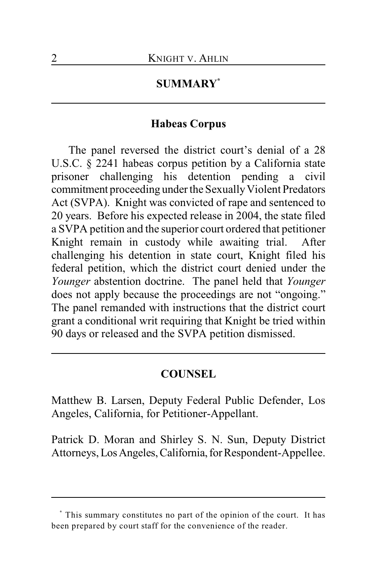# **SUMMARY \***

# **Habeas Corpus**

The panel reversed the district court's denial of a 28 U.S.C. § 2241 habeas corpus petition by a California state prisoner challenging his detention pending a civil commitment proceeding under the Sexually Violent Predators Act (SVPA). Knight was convicted of rape and sentenced to 20 years. Before his expected release in 2004, the state filed a SVPA petition and the superior court ordered that petitioner Knight remain in custody while awaiting trial. After challenging his detention in state court, Knight filed his federal petition, which the district court denied under the *Younger* abstention doctrine. The panel held that *Younger* does not apply because the proceedings are not "ongoing." The panel remanded with instructions that the district court grant a conditional writ requiring that Knight be tried within 90 days or released and the SVPA petition dismissed.

# **COUNSEL**

Matthew B. Larsen, Deputy Federal Public Defender, Los Angeles, California, for Petitioner-Appellant.

Patrick D. Moran and Shirley S. N. Sun, Deputy District Attorneys, Los Angeles, California, for Respondent-Appellee.

This summary constitutes no part of the opinion of the court. It has **\*** been prepared by court staff for the convenience of the reader.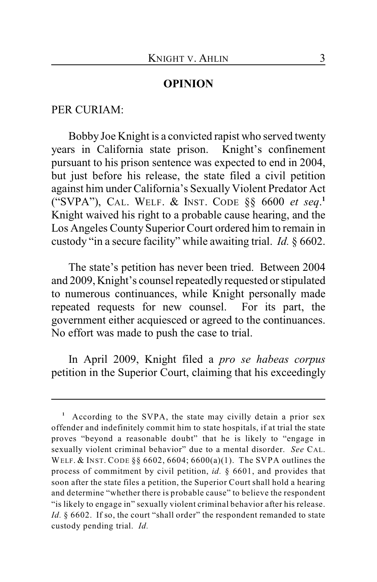## **OPINION**

#### PER CURIAM:

Bobby Joe Knight is a convicted rapist who served twenty years in California state prison. Knight's confinement pursuant to his prison sentence was expected to end in 2004, but just before his release, the state filed a civil petition against him under California's Sexually Violent Predator Act ("SVPA"), CAL. WELF. & INST. CODE §§ 6600 *et seq*. **1** Knight waived his right to a probable cause hearing, and the Los Angeles County Superior Court ordered him to remain in custody "in a secure facility" while awaiting trial. *Id.* § 6602.

The state's petition has never been tried. Between 2004 and 2009, Knight's counsel repeatedly requested or stipulated to numerous continuances, while Knight personally made repeated requests for new counsel. For its part, the government either acquiesced or agreed to the continuances. No effort was made to push the case to trial.

In April 2009, Knight filed a *pro se habeas corpus* petition in the Superior Court, claiming that his exceedingly

<sup>&</sup>lt;sup>1</sup> According to the SVPA, the state may civilly detain a prior sex offender and indefinitely commit him to state hospitals, if at trial the state proves "beyond a reasonable doubt" that he is likely to "engage in sexually violent criminal behavior" due to a mental disorder. *See* CAL. WELF. & INST. CODE §§ 6602, 6604; 6600(a)(1). The SVPA outlines the process of commitment by civil petition, *id.* § 6601, and provides that soon after the state files a petition, the Superior Court shall hold a hearing and determine "whether there is probable cause" to believe the respondent "is likely to engage in" sexually violent criminal behavior after his release. Id. § 6602. If so, the court "shall order" the respondent remanded to state custody pending trial. *Id.*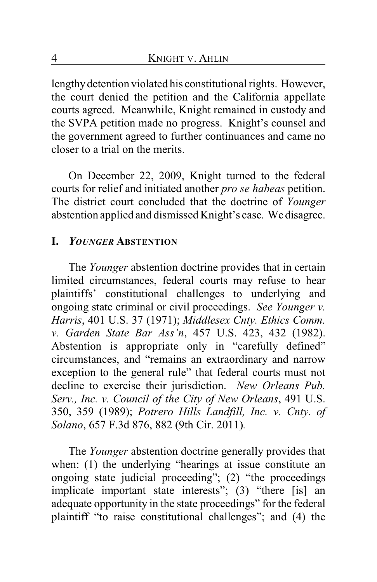lengthy detention violated his constitutional rights. However, the court denied the petition and the California appellate courts agreed. Meanwhile, Knight remained in custody and the SVPA petition made no progress. Knight's counsel and the government agreed to further continuances and came no closer to a trial on the merits.

On December 22, 2009, Knight turned to the federal courts for relief and initiated another *pro se habeas* petition. The district court concluded that the doctrine of *Younger* abstention applied and dismissed Knight's case. We disagree.

# **I.** *YOUNGER* **ABSTENTION**

The *Younger* abstention doctrine provides that in certain limited circumstances, federal courts may refuse to hear plaintiffs' constitutional challenges to underlying and ongoing state criminal or civil proceedings. *See Younger v. Harris*, 401 U.S. 37 (1971); *Middlesex Cnty. Ethics Comm. v. Garden State Bar Ass'n*, 457 U.S. 423, 432 (1982). Abstention is appropriate only in "carefully defined" circumstances, and "remains an extraordinary and narrow exception to the general rule" that federal courts must not decline to exercise their jurisdiction. *New Orleans Pub. Serv., Inc. v. Council of the City of New Orleans*, 491 U.S. 350, 359 (1989); *Potrero Hills Landfill, Inc. v. Cnty. of Solano*, 657 F.3d 876, 882 (9th Cir. 2011)*.*

The *Younger* abstention doctrine generally provides that when: (1) the underlying "hearings at issue constitute an ongoing state judicial proceeding"; (2) "the proceedings implicate important state interests"; (3) "there [is] an adequate opportunity in the state proceedings" for the federal plaintiff "to raise constitutional challenges"; and (4) the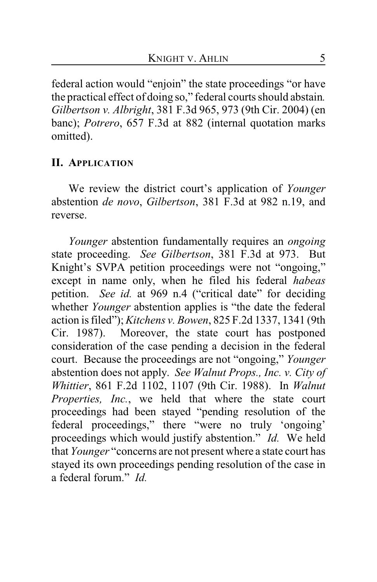federal action would "enjoin" the state proceedings "or have the practical effect of doing so," federal courts should abstain*. Gilbertson v. Albright*, 381 F.3d 965, 973 (9th Cir. 2004) (en banc); *Potrero*, 657 F.3d at 882 (internal quotation marks omitted).

# **II. APPLICATION**

We review the district court's application of *Younger* abstention *de novo*, *Gilbertson*, 381 F.3d at 982 n.19, and reverse.

*Younger* abstention fundamentally requires an *ongoing* state proceeding. *See Gilbertson*, 381 F.3d at 973. But Knight's SVPA petition proceedings were not "ongoing," except in name only, when he filed his federal *habeas* petition. *See id.* at 969 n.4 ("critical date" for deciding whether *Younger* abstention applies is "the date the federal action is filed");*Kitchens v. Bowen*, 825 F.2d 1337, 1341 (9th Cir. 1987). Moreover, the state court has postponed consideration of the case pending a decision in the federal court. Because the proceedings are not "ongoing," *Younger* abstention does not apply. *See Walnut Props., Inc. v. City of Whittier*, 861 F.2d 1102, 1107 (9th Cir. 1988). In *Walnut Properties, Inc.*, we held that where the state court proceedings had been stayed "pending resolution of the federal proceedings," there "were no truly 'ongoing' proceedings which would justify abstention." *Id.* We held that *Younger* "concerns are not present where a state court has stayed its own proceedings pending resolution of the case in a federal forum." *Id.*